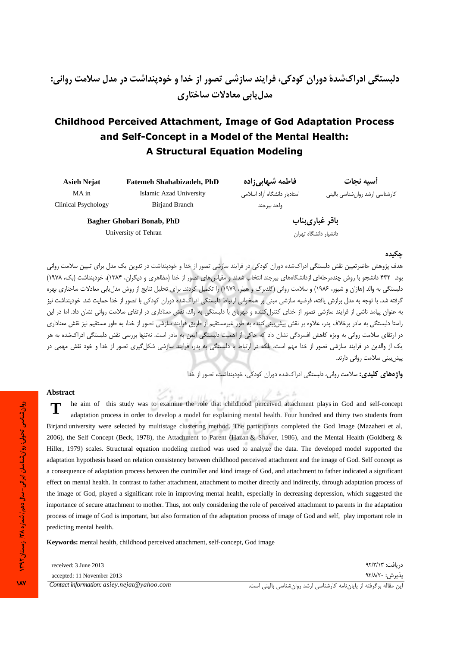# **Childhood Perceived Attachment, Image of God Adaptation Process** and Self-Concept in a Model of the Mental Health: **A Structural Equation Modeling**

| <b>Asieh Nejat</b>  | <b>Fatemeh Shahabizadeh, PhD</b> | فاطمه شبهابي;اده             | أسيه نحات                      |
|---------------------|----------------------------------|------------------------------|--------------------------------|
| MA in               | Islamic Azad University          | استادیار دانشگاه آزاد اسلامی | کارشناسی ارشد روانشناسی بالینی |
| Clinical Psychology | Birjand Branch                   | واحد بیرجند                  |                                |
|                     | Bagher Ghobari Bonab, PhD        |                              | باقر غبارىبناب                 |
|                     | University of Tehran             |                              | ادانشیا، دانشگاه تمان          |

دانشيار دانشگاه تهران

### حكىدە

.<br>هدف پژوهش حاضرتعیین نقش دلستگی ادراکشده دوران کودکی در فرایند سازشی تصور از خدا و خودبنداشت در تدوین یک مدل برای تیبین سلامت روانی بود. ۴۳۲ دانشجو با روش چندمرحلهای ازدانشگاههای بیرجند انتخاب شدند و مقیاسهای تصور از خدا (مظاهری و دیگران، ۱۳۸۴)، خودپنداشت (بک، ۱۹۷۸) دلبستگی به والد (هازان و شیور، ۱۹۸۶) و سلامت روانی (گلدبرگ و هیلر، ۱۹۷۹) را تکمیل کردند. برای تحلیل نتایج از روش مدل یابی معادلات ساختاری بهره گرفته شد. با توجه به مدل برازش یافته، فرضیه سازشی مبنی بر همخوانی ارتباط دلبستگی ادراکشده دوران کودکی با تصور از خدا حمایت شد. خودپنداشت نیز به عنوان پیامد ناشی از فرایند سازشی تصور از خدای کنترل کننده و مهربان با دلبستگی به والد، نقش معناداری در ارتقای سلامت روانی نشان داد. اما در این راستا دلبستگی به مادر برخلاف پدر، علاوه بر نقش پیش بینی کننده به طور غیرمستقیم از طریق فرایند سازشی تصور از خدا، به طور مستقیم نیز نقش معناداری در ارتقای سلامت روانی به ویژه کاهش افسردگی نشان داد که حاکی از اهمیت دلبستگی ایمن به مادر است. نهتنها بررسی نقش دلبستگی ادراکشده به هر یک از والدین در فرایند سازشی تصور از خدا مهم است، بلکه در ارتباط با دلبستگی به پدر، فرایند سازشی شکل گیری تصور از خدا و خود نقش مهمی در پیش بینی سلامت روانی دارند.

واژههای کلیدی: سلامت روانی، دلبستگی ادراکشده دوران کودکی، خودینداشت، تصور از خدا

#### **Abstract**

he aim of this study was to examine the role that childhood perceived attachment plays in God and self-concept adaptation process in order to develop a model for explaining mental health. Four hundred and thirty two students from Birjand university were selected by multistage clustering method. The participants completed the God Image (Mazaheri et al, 2006), the Self Concept (Beck, 1978), the Attachment to Parent (Hazan & Shaver, 1986), and the Mental Health (Goldberg & Hiller, 1979) scales. Structural equation modeling method was used to analyze the data. The developed model supported the adaptation hypothesis based on relation consistency between childhood perceived attachment and the image of God. Self concept as a consequence of adaptation process between the controller and kind image of God, and attachment to father indicated a significant effect on mental health. In contrast to father attachment, attachment to mother directly and indirectly, through adaptation process of the image of God, played a significant role in improving mental health, especially in decreasing depression, which suggested the importance of secure attachment to mother. Thus, not only considering the role of perceived attachment to parents in the adaptation process of image of God is important, but also formation of the adaptation process of image of God and self, play important role in predicting mental health.

Keywords: mental health, childhood perceived attachment, self-concept, God image

| received: 3 June 2013                        | دريافت: ۹۲/۳/۱۳                                                    |
|----------------------------------------------|--------------------------------------------------------------------|
| accepted: 11 November 2013                   | يذيرش: ٩٢/٨/٢٠                                                     |
| Contact information: $asiev.nejat@vahoo.com$ | این مقاله برگرفته از پایانiامه کارشناسی ارشد روانشناسی بالینی است. |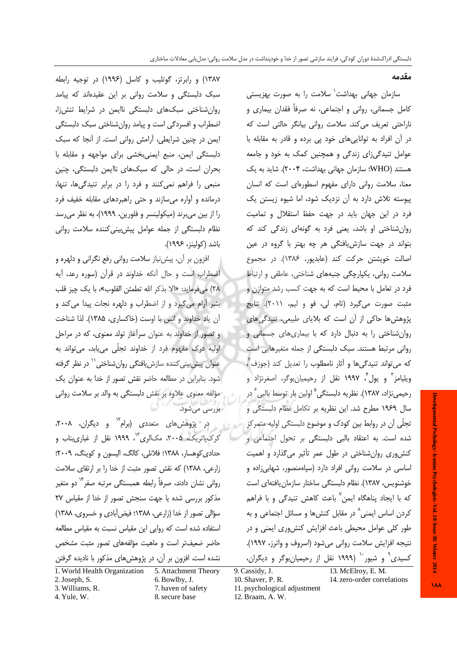مقدمه

سازمان جهانی بهداشت<sup>\</sup> سلامت را به صورت بهزیستی کامل جسمانی، روانی و اجتماعی، نه صرفاً فقدان بیماری و ناراحتی تعریف می کند. سلامت روانی بیانگر حالتی است که در آن افراد به تواناییهای خود پی برده و قادر به مقابله با عوامل تنیدگیزای زندگی و همچنین کمک به خود و جامعه هستند (WHO: سازمان جهانی بهداشت، ۲۰۰۴). شاید به یک معنا، سلامت روانی دارای مفهوم اسطورهای است که انسان پیوسته تلاش دارد به آن نزدیک شود، اما شیوه زیستن یک فرد در این جهان باید در جهت حفظ استقلال و تمامیت روان شناختی او باشد، یعنی فرد به گونهای زندگی کند که بتواند در جهت سازش یافتگی هر چه بهتر با گروه در عین اصالت خویشتن حرکت کند (عابدیور، ۱۳۸۶). در مجموع سلامت روانی، یکپارچگی جنبههای شناختی، عاطفی و ارتباط فرد در تعامل با محیط است که به جهت کسب رشد متوازن و مثبت صورت می گیرد (تام، لی، فو و لیم، ۲۰۱۱). نتایج یژوهش ها حاکی از آن است که بلایای طبیعی، تنیدگی های روان شناختی را به دنبال دارد که با بیماری های جسمانی و روانی مرتبط هستند. سبک دلبستگی از جمله متغیرهایی است که می تواند تنیدگی ها و آثار نامطلوب را تعدیل کند (جوزف ٌ، ویلیامز ؓ و یول ؓ، ۱۹۹۷ نقل از رحیمیان،وگر، اصغرنژاد و رحي*مي*نژاد، ۱۳۸۷). نظريه دلبستگي<sup>۵</sup> اولين بار توسط بالبي<sup>۶</sup> در سال ۱۹۶۹ مطرح شد. این نظریه بر تکامل نظام دلبستگی و تجلّی آن در روابط بین کودک و موضوع دلبستگی اولیه متمرکز استعلی از در پژوهشهای متعددی (برام<sup>۱۲</sup> و دیگران، ۲۰۰۸، شده است. به اعتقاد بالبی دلبستگی بر تحول اجتماعی و كنش وري روان شناختي در طول عمر تأثير مي گذارد و اهميت اساسی در سلامت روانی افراد دارد (سپاهمنصور، شهابیزاده و خوشنويس، ١٣٨٧). نظام دلبستگي ساختار سازمان يافتهاي است که با ایجاد پناهگاه ایمن<sup>۷</sup> باعث کاهش تنیدگی و با فراهم کردن اساس ایمنی<sup>^</sup> در مقابل کنشها و مسائل اجتماعی و به طور کلی عوامل محیطی باعث افزایش کنش وری ایمنی و در نتيجه افزايش سلامت رواني مي شود (اسروف و واترز، ١٩٩٧). کسیدی<sup>۹</sup> و شیور<sup>۱۰</sup> (۱۹۹۹ نقل از رحیمیان بوگر و دیگران،

۱۳۸۷) و رابرتز، گوتلیب و کاسل (۱۹۹۶) در توجیه رابطه سبک دلبستگی و سلامت روانی بر این عقیدهاند که پیامد روان شناختی سبکهای دلبستگی ناایمن در شرایط تنشiا، اضطراب و افسردگی است و پیامد روان شناختی سبک دلبستگی ایمن در چنین شرایطی، آرامش روانی است. از آنجا که سبک دلبستگی ایمن، منبع ایمنی بخشی برای مواجهه و مقابله با بحران است، در حالی که سبکهای ناایمن دلبستگی، چنین منبعی را فراهم نمی کنند و فرد را در برابر تنیدگیها، تنها، درمانده و آواره میسازند و حتی راهبردهای مقابله خفیف فرد را از بین می برند (میکولینسر و فلورین، ۱۹۹۹)، به نظر می رسد نظام دلبستگی از جمله عوامل پیش بینی کننده سلامت روانی باشد (كولينز، ۱۹۹۶).

افزون بر آن، پیش نیاز سلامت روانی رفع نگرانی و دلهره و اضطراب است و حال آنکه خداوند در قرآن (سوره رعد، آیه ٢٨) ميفرمايد: «الا بذكر الله تطمئن القلوب»، با يك چيز قلب بشر آرام می گیرد و از اضطراب و دلهره نجات پیدا می کند و آن یاد خداوند و انس با اوست (خاکساری، ۱۳۸۵). لذا شناخت و تصور از خداوند به عنوان سرآغاز تولد معنوی، که در مراحل اوليه درک مفهوم فرد از خداوند تجلّي مي يابد، مي تواند به عنوان پیش بینی کننده سازش یافتگی روان شناختی <sup>۱٬</sup> در نظر گرفته شود. بنابراین در مطالعه حاضر نقش تصور از خدا به عنوان یک مؤلفه معنوی علاوه بر نقش دلبستگی به والد بر سلامت روانی بررسی می شود.

کرکپاتریک، ۲۰۰۵، مکالری<sup>۱۳</sup>، ۱۹۹۹ نقل از غباریبناب و حدادي كوهسار، ١٣٨٨؛ فلانلي، كالگ، اليسون و كوينگ، ٢٠٠٩؛ زارعی، ۱۳۸۸) که نقش تصور مثبت از خدا را بر ارتقای سلامت روانی نشان دادند، صرفاً رابطه همبستگی مرتبه صفر <sup>۱۲</sup> دو متغیر مذكور بررسى شده يا جهت سنجش تصور از خدا از مقياس ٢٧ سؤالي تصور از خدا (زارعي، ١٣٨٨؛ فيض آبادي و خسروي، ١٣٨٨) استفاده شده است كه روايي اين مقياس نسبت به مقياس مطالعه حاضر ضعیفتر است و ماهیت مؤلفههای تصور مثبت مشخص نشده است. افزون بر آن، در پژوهشهای مذکور با نادیده گرفتن

| 1. World Health Organization | 5. Attachment Theory |
|------------------------------|----------------------|
| 2. Joseph, S.                | 6. Bowlby, J.        |
| 3. Williams, R.              | 7. haven of safety   |
| 4. Yule, W.                  | 8. secure base       |

10. Shaver, P. R.

9. Cassidy, J.

- 13. McElrov, E. M. 14. zero-order correlations
- 11. psychological adjustment
- 12. Braam, A. W.

**MA**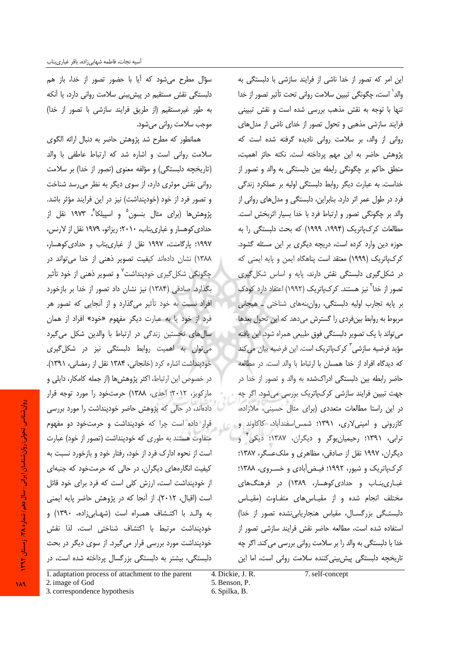سؤال مطرح می شود که آیا با حضور تصور از خدا، باز هم دلبستگی نقش مستقیم در پیش بینی سلامت روانی دارد، یا آنکه به طور غیرمستقیم (از طریق فرایند سازشی با تصور از خدا) موجب سلامت رواني مي شود.

همانطور که مطرح شد پژوهش حاضر به دنبال ارائه الگوی سلامت روانی است و اشاره شد که ارتباط عاطفی با والد (تاریخچه دلبستگی) و مؤلفه معنوی (تصور از خدا) بر سلامت روانی نقش موثری دارد، از سوی دیگر به نظر می رسد شناخت و تصور فرد از خود (خودپنداشت) نیز در این فرایند مؤثر باشد. پژوهش ها (برای مثال بنسون<sup>۵</sup> و اسپیلکا<sup>ن</sup>، ۱۹۷۳ نقل از حدادی کوهسار و غباریبناب، ۲۰۱۰؛ ریزاتو، ۱۹۷۹ نقل از لارنس، ١٩٩٧؛ پارگامنت، ١٩٩٧ نقل از غبارىبناب و حدادى كوهسار، ١٣٨٨) نشان دادهاند كيفيت تصوير ذهني از خدا مى تواند در چگونگی شکل *گ*یری خودپنداشت<sup>۷</sup> و تصویر ذهنی از خود تأثیر بگذارد. صادقی (۱۳۸۴) نیز نشان داد تصور از خدا بر بازخورد افراد نسبت به خود تأثیر میگذارد و از آنجایی که تصور هر فرد از خود یا به عبارت دیگر مفهوم «خود» افراد از همان سال های نخستین زندگی در ارتباط با والدین شکل می گیرد می توان به اهمیت روابط دلبستگی نیز در شکل *گ*یری خودپنداشت اشاره كرد (خانجانى، ١٣٨۴ نقل از رمضانى، ١٣٩١). در خصوص این ارتباط، اکثر پژوهش ها (از جمله کامکار، دایلی و ماركويز، ٢٠١٢؛ احدى، ١٣٨٨) حرمتخود را مورد توجه قرار دادهاند، در حالی که پژوهش حاضر خودینداشت را مورد بررسی قرار داده است چرا که خودپنداشت و حرمتخود دو مفهوم متفاوت هستند به طوری که خودپنداشت (تصور از خود) عبارت است از نحوه ادارک فرد از خود، رفتار خود و بازخورد نسبت به کیفیت انگارههای دیگران، در حالی که حرمتخود که جنبهای از خودینداشت است، ارزش کلی است که فرد برای خود قائل است (اقبال، ٢٠١٢). از آنجا كه در پژوهش حاضر پايه ايمنى به والد با اكتشاف همـراه است (شهـابىزاده، ١٣٩٠) و خودينداشت مرتبط با اكتشاف شناختى است، لذا نقش خودینداشت مورد بررسی قرار می گیرد. از سوی دیگر در بحث دلبستگی، بیشتر به دلبستگی بزرگسال پرداخته شده است، در

این امر که تصور از خدا ناشی از فرایند سازشی با دلبستگی به والد` است، چگونگی تبیین سلامت روانی تحت تأثیر تصور از خدا تنها با توجه به نقش مذهب بررسی شده است و نقش تبیینی فرایند سازشی مذهبی و تحول تصور از خدای ناشی از مدل های روانی از والد، بر سلامت روانی نادیده گرفته شده است که پژوهش حاضر به این مهم پرداخته است. نکته حائز اهمیت، منطق حاکم بر چگونگی رابطه بین دلبستگی به والد و تصور از خداست. به عبارت دیگر روابط دلبستگی اولیه بر عملکرد زندگی فرد در طول عمر اثر دارد. بنابراین، دلبستگی و مدل های روانی از والد بر چگونگی تصور و ارتباط فرد با خدا بسیار اثربخش است. مطالعات کرکپاتریک (۱۹۹۴، ۱۹۹۹) که بحث دلبستگی را به حوزه دین وارد کرده است، دریچه دیگری بر این مسئله گشود. كرك¢تريك (١٩٩٩) معتقد است پناهگاه ايمن و پايه ايمنى كه در شکل گیری دلبستگی نقش دارند، پایه و اساس شکل گیری تصور از خدا<sup>۲</sup> نیز هستند. کرک $y$ تریک (۱۹۹۲) اعتقاد دارد کودک بر پایه تجارب اولیه دلبستگی، روان بنههای شناختی \_ هیجانی مربوط به روابط بینفردی را گسترش میدهد که این تحول بعدها می تواند با یک تصویر دلبستگی فوق طبیعی همراه شود. این یافته مؤيد فرضيه سازشي<sup>۳</sup> كركµتريک است. اين فرضيه بيان مي *ك*ند كه ديدگاه افراد از خدا همسان با ارتباط با والد است. در مطالعه حاضر رابطه بین دلبستگی ادراکشده به والد و تصور از خدا در جهت تبیین فرایند سازشی کرکپاتریک بررسی میشود. اگر چه در این راستا مطالعات متعددی (برای مثال حسینی، ملازاده، کازرونی و امینی لاری، ۱۳۹۱؛ شمس اسفندآباد، کاکاوند و ترابی، ۱۳۹۱؛ رحیمیانبوگر و دیگران، ۱۳۸۷؛ دیکی<sup>۴</sup> و دیگران، ۱۹۹۷ نقل از صادقی، مظاهری و ملک عسگر، ۱۳۸۷؛ کرکپاتریک و شیور، ۱۹۹۲؛ فیـضآبادی و خسـروی، ۱۳۸۸؛ غباری بناب و حدادی کوهسار، ۱۳۸۹) در فرهنگ های مختلف انجام شده واز مقياس هاى متفاوت (مقياس دلبستگی بزرگسال، مقیاس هنجاریابی نشده تصور از خدا) استفاده شده است، مطالعه حاضر نقش فرایند سازشی تصور از خدا با دلبستگی به والد را بر سلامت روانی بررسی می کند. اگر چه تاریخچه دلبستگی پیش بینی کننده سلامت روانی است، اما این

1. adaptation process of attachment to the parent 2. image of God 3. correspondence hypothesis 6. Spilka, B.

4. Dickie, J. R. 5. Benson, P.

روان شناسی تحولی: روان شناسان ایرانی- سال دهم) شماره ۲۸ ; وسستان ۱۳۹۲

**IA9**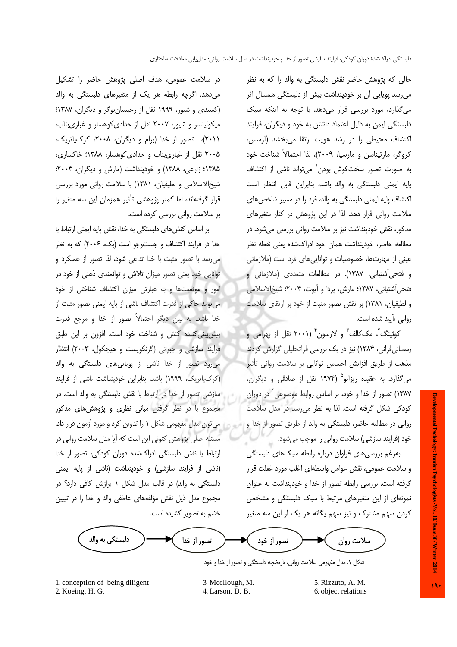حالي كه پژوهش حاضر نقش دلبستگي به والد را كه به نظر میرسد پویایی اُن بر خودپنداشت بیش از دلبستگی همسال اثر می گذارد، مورد بررسی قرار می دهد. با توجه به اینکه سبک دلبستگی ایمن به دلیل اعتماد داشتن به خود و دیگران، فرایند اکتشاف محیطی را در رشد هویت ارتقا می بخشد (آرسس، کروگر، مارتیناسن و مارسیا، ۲۰۰۹)، لذا احتمالاً شناخت خود به صورت تصور سختکوش بودن` می تواند ناشی از اکتشاف یایه ایمنی دلبستگی به والد باشد، بنابراین قابل انتظار است اکتشاف پایه ایمنی دلبستگی به والد، فرد را در مسیر شاخص های سلامت روانی قرار دهد. لذا در این پژوهش در کنار متغیرهای مذکور، نقش خودپنداشت نیز بر سلامت روانی بررسی میشود. در مطالعه حاضر، خودپنداشت همان خود ادراكشده يعني نقطه نظر عینی از مهارتها، خصوصیات و تواناییهای فرد است (ملازمانی و فتحی[شتیانی، ۱۳۸۷). در مطالعات متعددی (ملازمانی و فتحي آشتياني، ١٣٨٧؛ مارش، پردا و آيوت، ٢٠٠۴؛ شيخ الاسلامي و لطیفیان، ۱۳۸۱) بر نقش تصور مثبت از خود بر ارتقای سلامت رواني تأييد شده است.

کوئینگ'، مککالف" و لارسون'' (۲۰۰۱ نقل از بهرامی و رمضانی فرانی، ۱۳۸۴) نیز در یک بررسی فراتحلیلی گزارش کردند مذهب از طریق افزایش احساس توانایی بر سلامت روانی تأثیر می گذارد. به عقیده ریزاتو<sup>۵</sup> (۱۹۷۴ نقل از صادقی و دیگران، ۱۳۸۷) تصور از خدا و خود، بر اساس روابط موضوعی<sup>7</sup> در دوران كودكي شكل گرفته است. لذا به نظر مي رسد در مدل سلامت روانی در مطالعه حاضر، دلبستگی به والد از طریق تصور از خدا و خود (فرایند سازشی) سلامت روانی را موجب میشود.

بەرغم بررسىھاى فراوان دربارە رابطه سبك&اى دلبستگى و سلامت عمومی، نقش عوامل واسطهای اغلب مورد غفلت قرار گرفته است. بررسی رابطه تصور از خدا و خودینداشت به عنوان نمونهای از این متغیرهای مرتبط با سبک دلبستگی و مشخص کردن سهم مشترک و نیز سهم یگانه هر یک از این سه متغیر

دلبستگي به والد تصور از خدا سلامت روان تصور از خود

شکل ۱. مدل مفهومی سلامت روانی، تاریخچه دلبستگی و تصور از خدا و خود

1. conception of being diligent

در سلامت عمومی، هدف اصلی پژوهش حاضر را تشکیل

می دهد. اگرچه رابطه هر یک از متغیرهای دلبستگی به والد

(کسیدی و شیور، ۱۹۹۹ نقل از رحیمیان بوگر و دیگران، ۱۳۸۷؛ میکولینسر و شیور، ۲۰۰۷ نقل از حدادی کوهسار و غباریبناب،

۲۰۱۱)، تصور از خدا (برام و دیگران، ۲۰۰۸، کرکیاتریک،

۲۰۰۵ نقل از غباریبناب و حدادی کوهسار، ۱۳۸۸؛ خاکساری،

۱۳۸۵؛ زارعی، ۱۳۸۸) و خودینداشت (مارش و دیگران، ۲۰۰۴؛

شیخالاسلامی و لطیفیان، ۱۳۸۱) با سلامت روانی مورد بررسی

قرار گرفتهاند، اما کمتر پژوهشی تأثیر همزمان این سه متغیر را

بر اساس کنشهای دلبستگی به خدا، نقش پایه ایمنی ارتباط با

خدا در فرایند اکتشاف و جستوجو است (بک، ۲۰۰۶) که به نظر

می رسد با تصور مثبت با خدا تداعی شود، لذا تصور از عملکرد و

توانایی خود یعنی تصور میزان تلاش و توانمندی ذهنی از خود در

امور و موقعیتها و به عبارتی میزان اکتشاف شناختی از خود

می تواند حاکی از قدرت اکتشاف ناشی از پایه ایمنی تصور مثبت از

خدا باشد. به بیان دیگر احتمالاً تصور از خدا و مرجع قدرت

پیش بینی کننده کنش و شناخت خود است. افزون بر این طبق

فرایند سازشی و جبرانی (گرنکویست و هیجکول، ۲۰۰۳) انتظار

می رود تصور از خدا ناشی از پویاییهای دلبستگی به والد

(کرکپاتریک، ۱۹۹۹) باشد، بنابراین خودپنداشت ناشی از فرایند سازشی تصور از خدا در ارتباط با نقش دلبستگی به والد است. در

مجموع با در نظر گرفتن مبانی نظری و پژوهشهای مذکور

می توان مدل مفهومی شکل ۱ را تدوین کرد و مورد آزمون قرار داد.

مسئله اصلی پژوهش کنونی این است که آیا مدل سلامت روانی در

ارتباط با نقش دلبستگی ادراکشده دوران کودکی، تصور از خدا

(ناشی از فرایند سازشی) و خودپنداشت (ناشی از پایه ایمنی

دلبستگی به والد) در قالب مدل شکل ۱ برازش کافی دارد؟ در

مجموع مدل ذیل نقش مؤلفههای عاطفی والد و خدا را در تبیین

خشم به تصویر کشیده است.

بر سلامت روانی بررسی کرده است.

2. Koeing, H. G.

3. Mccllough, M. 4. Larson. D. B.

5. Rizzuto, A. M. 6. object relations Developmental Pschology: Iranian Psychologists - Vol. 10/Issue 38/Winter 2014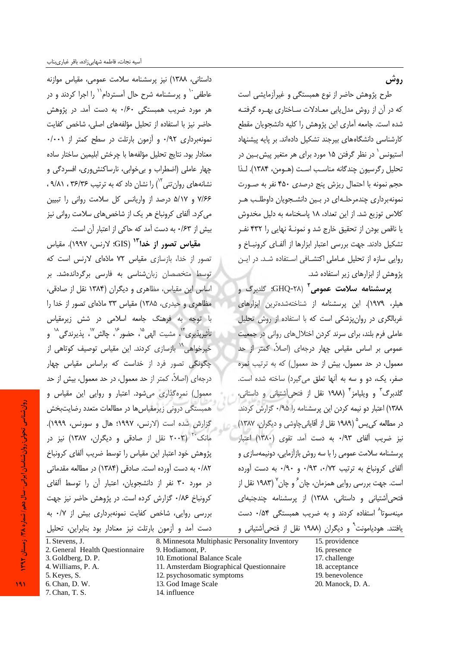طرح پژوهش حاضر از نوع همبستگی و غیرآزمایشی است که در آن از روش مدل بابی معـادلات سـاختاری بهـره گرفتـه شده است. جامعه آماری این پژوهش را کلیه دانشجویان مقطع کارشناسی دانشگاههای پیرجند تشکیل دادهاند. بر پایه پیشنهاد استیونس ٰ در نظر گرفتن ۱۵ مورد برای هر متغیر پیش بـین در تحليل رگرسيون چندگانه مناسب است (هــومن، ١٣٨۴). لـذا حجم نمونه با احتمال ریزش پنج درصدی ۴۵۰ نفر به صـورت نمونهبرداری چندمرحلهای در بین دانشجویان داوطلب هر كلاس توزيع شد. از اين تعداد، ١٨ پاسخنامه به دليل مخدوش یا ناقص بودن از تحقیق خارج شد و نمونـهٔ نهایی را ۴۳۲ نفـر تشکیل دادند. جهت بررسی اعتبار ابزارها از آلفـای کرونبــاخ و روایی سازه از تحلیل عـاملی اکتشـافی اسـتفاده شـد. در ایـن پژوهش از ابزارهای زیر استفاده شد.

**پرسشنامه سلامت عمومی<sup>۲</sup>** (۲۸-GHQ؛ گلدبرگ و هیلر، ۱۹۷۹). این پرسشنامه از شناختهشدهترین ابزارهای غربالگری در روان پزشکی است که با استفاده از روش تحلیل عاملی فرم بلند، برای سرند کردن اختلال های روانی در جمعیت عمومی بر اساس مقیاس چهار درجهای (اصلاً، کمتر از حد معمول، در حد معمول، بیش از حد معمول) که به ترتیب نمره صفر، یک، دو و سه به آنها تعلق می گیرد) ساخته شده است. گلدبرگ<sup>۳</sup> و ویلیامز<sup>۴</sup> (۱۹۸۸ نقل از فتحیآشتیانی و داستانی، ١٣٨٨) اعتبار دو نيمه كردن اين پرسشنامه را ٠/٩۵ گزارش كردند. در مطالعه کے پس (١٩٨٩ نقل از آقایانی چاوشی و دیگران، ١٣٨٧) نیز ضریب آلفای ۹۳/۰ به دست آمد. تقوی (۱۳۸۰) اعتبار پرسشنامه سلامت عمومی را با سه روش بازآزمایی، دونیمهسازی و آلفای کرونباخ به ترتیب ۰/۹۳، ۰/۹۳ و ۰/۹۰ به دست آورده است. جهت بررسی روایی همزمان، چان ً و چان <sup>۱</sup> (۱۹۸۳ نقل از فتحی آشتیانی و داستانی، ۱۳۸۸) از پرسشنامه چندجنبهای مینهسوتا<sup>۸</sup> استفاده کردند و به ضریب همبستگی ۰/۵۴ دست یافتند. هودیامونت<sup>٬</sup> و دیگران (۱۹۸۸ نقل از فتحیآشتیانی و

داستانی، ١٣٨٨) نيز پرسشنامه سلامت عمومی، مقياس موازنه عاطفی `` و پرسشنامه شرح حال آمستردام``` را اجرا کردند و در هر مورد ضریب همبستگی ۱۶۰ به دست آمد. در پژوهش حاضر نیز با استفاده از تحلیل مؤلفههای اصلی، شاخص کفایت نمونهبرداری ۰/۹۲ و آزمون بارتلت در سطح کمتر از ۰/۰۰۱. معنادار بود. نتايج تحليل مؤلفهها با چرخش ابليمين ساختار ساده چهار عاملی (اضطراب و بی خوابی، نارساکنش وری، افسردگی و نشانههای روان تنی ۱٬ را نشان داد که به ترتیب ۳۶/۳۶ ، ۹/۸۱ ، ۷/۶۶ و ۵/۱۷ درصد از واریانس کل سلامت روانی را تبیین می کرد. آلفای کرونباخ هر یک از شاخصهای سلامت روانی نیز بیش از ۰/۶۳ به دست آمد که حاکی از اعتبار آن است.

م**قیاس تصور از خدا<sup>۱۳</sup> (GIS: لارنس، ۱۹۹۷). مقیاس** تصور از خدا، بازسازی مقیاس ۷۲ مادّهای لارنس است که توسط متخصصان زبانشناسی به فارسی برگرداندهشد. بر اساس این مقیاس، مظاهری و دیگران (۱۳۸۴ نقل از صادقی، مظاهری و حیدری، ۱۳۸۵) مقیاس ۳۳ مادّهای تصور از خدا را با توجه به فرهنگ جامعه اسلامی در شش زیرمقیاس تأثيربذيري"، مشبت الهي"، حضور"، حالش"، بذيرندگي" و خیرخواهی<sup>۱۹</sup> بازسازی کردند. این مقیاس توصیف کوتاهی از چگونگی تصور فرد از خداست که براساس مقیاس چهار درجهای (اصلاً، کمتر از حد معمول، در حد معمول، بیش از حد معمول) نمرهگذاری میشود. اعتبار و روایی این مقیاس و همبستگی درونی زیرمقیاس ها در مطالعات متعدد رضایتبخش گزارش شده است (لارنس، ۱۹۹۷؛ هال و سورنس، ۱۹۹۹). مانک<sup>۲۰</sup> (۲۰۰۳ نقل از صادقی و دیگران، ۱۳۸۷) نیز در پژوهش خود اعتبار این مقیاس را توسط ضریب آلفای کرونباخ ٠/٨٢ به دست آورده است. صادقی (١٣٨۴) در مطالعه مقدماتی در مورد ۳۰ نفر از دانشجویان، اعتبار آن را توسط آلفای کرونباخ ۱۸۶۰ گزارش کرده است. در پژوهش حاضر نیز جهت بررسی روایی، شاخص کفایت نمونهبرداری بیش از ۰/۷ به دست آمد و آزمون بارتلت نیز معنادار بود بنابراین، تحلیل

8. Minnesota Multiphasic Personality Inventory 1. Stevens, J. 15. providence 2. General Health Questionnaire 9. Hodiamont, P. 16. presence 10. Emotional Balance Scale 3. Goldberg, D. P. 17. challenge 4. Williams, P. A. 11. Amsterdam Biographical Questionnaire 18. acceptance 5. Keyes, S. 12. psychosomatic symptoms 19. benevolence 6. Chan, D. W. 13. God Image Scale 20. Manock, D. A. 7. Chan, T. S. 14. influence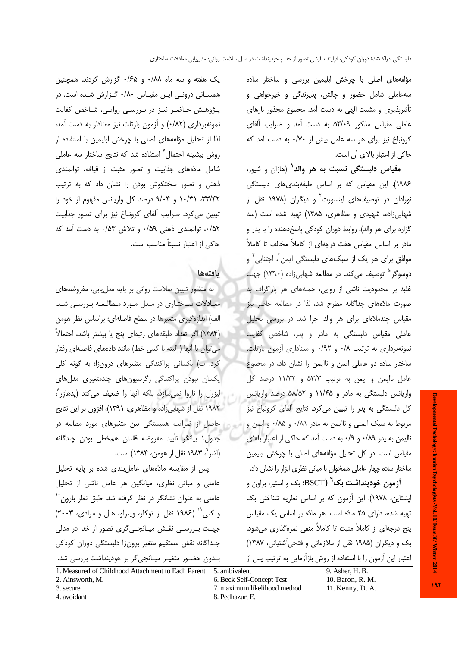مؤلفههای اصلی با چرخش ابلیمین بررسی و ساختار ساده سهءاملی شامل حضور و چالش، پذیرندگی و خیرخواهی و تأثیرپذیری و مشیت الهی به دست آمد. مجموع مجذور بارهای عاملی مقیاس مذکور ۵۳/۰۹ به دست آمد و ضرایب آلفای کرونیاخ نیز برای هر سه عامل پیش از ۰/۷۰ به دست آمد که حاكي از اعتبار بالاي آن است.

**مقیاس دلبستگی نسبت به هر والد<sup>۱</sup>** (هازان و شیور، ۱۹۸۶). این مقیاس که بر اساس طبقهبندیهای دلبستگی نوزادان در توصیفهای اینسورث<sup>۲</sup> و دیگران (۱۹۷۸ نقل از شهابی زاده، شهیدی و مظاهری، ۱۳۸۵) تهیه شده است (سه گزاره برای هر والد)، روابط دوران کودکی پاسخدهنده را با پدر و مادر بر اساس مقیاس هفت درجهای از کاملاً مخالف تا کاملاً موافق برای هر یک از سبکهای دلبستگی ایمن ، اجتنابی ٔ و دوسوگرا<sup>۵</sup> توصیف می کند. در مطالعه شهابیiاده (۱۳۹۰) جهت غلبه بر محدودیت ناشی از روایی، جملههای هر پاراگراف به صورت مادّههای جداگانه مطرح شد، لذا در مطالعه حاضر نیز مقیاس چندمادّهای برای هر والد اجرا شد. در بررسی تحلیل عاملی مقیاس دلبستگی به مادر و پدر، شاخص کفایت نمونهبرداری به ترتیب ۰/۸ و ۰/۹۲ و معناداری آزمون بارتلت، ساختار ساده دو عاملی ایمن و ناایمن را نشان داد، در مجموع عامل ناایمن و ایمن به ترتیب ۵۳/۳ و ۱۱/۳۲ درصد کل واریانس دلبستگی به مادر و ۱۱/۴۵ و ۵۸/۵۲ درصد واریانس کل دلبستگی به پدر را تبیین میکرد. نتایج آلفای کرونباخ نیز مربوط به سبک ایمنی و ناایمن به مادر ۰/۸۱ و ۰/۸۵ و ایمن و ناایمن به یدر ۰/۸۹ و ۰/۹ به دست آمد که حاکی از اعتبار بالای مقیاس است. در کل تحلیل مؤلفههای اصلی با چرخش ابلیمین ساختار ساده چهار عاملی همخوان با مبانی نظری ابزار را نشان داد.

**آزمون خودینداشت بک<sup>٦</sup>** (BSCT؛ بک و استیر، براون و اپشتاین، ۱۹۷۸). این آزمون که بر اساس نظریه شناختی بک تهیه شده، دارای ۲۵ مادّه است. هر مادّه بر اساس یک مقیاس ینج درجهای از کاملاً مثبت تا کاملاً منفی نمرهگذاری می شود. بک و دیگران (۱۹۸۵ نقل از ملازمانی و فتحی آشتیانی، ۱۳۸۷) اعتبار این آزمون را با استفاده از روش بازآزمایی به ترتیب پس از

یک هفته و سه ماه ۰/۸۸ و ۰/۶۵ گزارش کردند. همچنین همسانی درونی این مقیاس ۰/۸۰ گزارش شده است. در پـژوهـش حـاضـر نيـز در بـررسـي روايـي، شـاخص كفايت نمونهبرداری (۰/۸۲) و آزمون بارتلت نیز معنادار به دست آمد، لذا از تحليل مؤلفههاي اصلي با چرخش ابليمين با استفاده از روش بیشینه احتمال<sup>۷</sup> استفاده شد که نتایج ساختار سه عاملی شامل مادّههای جذابیت و تصور مثبت از قیافه، توانمندی ذهنی و تصور سختکوش بودن را نشان داد که به ترتیب ۳۳/۴۲، ۱۰/۳۱ و ۹/۰۴ درصد کل واریانس مفهوم از خود را تبیین می کرد. ضرایب آلفای کرونباخ نیز برای تصور جذابیت ٠/۵٢، توانمندی ذهنی ٠/۵٩ و تلاش ٥٣/٠ به دست آمد که حاکی از اعتبار نسبتاً مناسب است.

# بافتهها

به منظور تبیین سلامت روانی بر پایه مدل یابی، مفروضههای معادلات ساختاری در مدل مورد مطالعه بررسی شد. الف) اندازه گیری متغیرها در سطح فاصلهای: براساس نظر هومن (١٣٨۴) اگر تعداد طبقههای رتبهای پنج یا بیشتر باشد، احتمالاً می توان با آنها ( البته با کمی خطا) مانند دادههای فاصلهای رفتار کرد. ب) یکسانی پراکندگی متغیرهای درون;ا: به گونه کلی یکسان نبودن پراکندگی رگرسیونهای چندمتغیری مدلهای ليزرل را ناروا نمي سازد، بلكه آنها را ضعيف مي كند (يدهازر^، ۱۹۸۲ نقل از شهابی زاده و مظاهری، ۱۳۹۱)، افزون بر این نتایج حاصل از ضرایب همبستگی بین متغیرهای مورد مطالعه در جدول ۱ بیانگر تأیید مفروضه فقدان همخطی بودن چندگانه (آشر "، ۱۹۸۳ نقل از هومن، ۱۳۸۴) است.

یس از مقایسه مادّههای عامل بندی شده بر پایه تحلیل عاملی و مبانی نظری، میانگین هر عامل ناشی از تحلیل عاملی به عنوان نشانگر در نظر گرفته شد. طبق نظر بارون و کنی" (١٩٨۶ نقل از توکار، ویتراو، هال و مرادی، ٢٠٠٣) جهت بـررسـی نقـش میـانجـی6کری تصور از خدا در مدلی جداگانه نقش مستقیم متغیر برونزا دلبستگی دوران کودکی بـدون حضـور متغيـر ميـانجي5ر بر خودپنداشت بررسي شد.

 $9.$  Asher, H. B. 10. Baron, R. M.

3. secure 4. avoidant

2. Ainsworth, M.

- 7. maximum likelihood method
- 11. Kenny, D. A.

Developmental Pschology: Iranian Psychologists -Vol. 10/Issue 38/Winter 2014

<sup>1.</sup> Measured of Childhood Attachment to Each Parent 5. ambivalent 6. Beck Self-Concept Test

<sup>8.</sup> Pedhazur, E.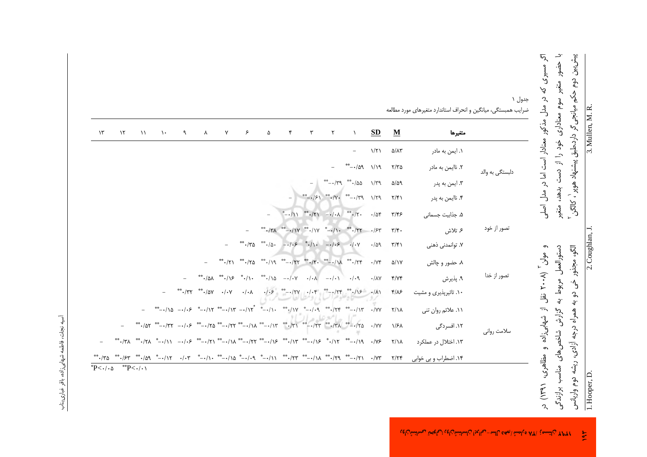| اگر مسیری که در مدل مذکور معنادار است اما در مدل اصلی | با حضور متغیر سوم معناداری خود را از دست بدهد، متغیر | پیش بین دوم حکم میانجیگر دارد.طبق پیشنهاد هوپر ٰ، کالگن | 3. Mullen, M. R. |
|-------------------------------------------------------|------------------------------------------------------|---------------------------------------------------------|------------------|
| و مولن آ (۲۰۰۸ نقل از شهاییزاده و مظاهری،             | دستورالعمل مربوط به گزارش شاخص های مناسه             | الگو، مجذور خی دو به همراه درجه آزادی، ریشه د           | 2. Coughlan, J.  |
|                                                       |                                                      |                                                         |                  |

جدول ۱  $\overline{\phantom{a}}$  $1.16 - 1 = 31 = 11$  $\epsilon$ ضرايب همبستگ  $\ddot{z}$  $\tilde{\mathbf{v}}$  $\frac{1}{2}$ ت اما د دلبستگی  $\frac{1}{2}$  $\overline{a}$ تصور ا  $\overline{\phantom{a}}$  $\ddot{\phantom{1}}$  $\tilde{\mathbf{z}}$ تصور ا ند  $\ddot{\mathbf{z}}$  $\overline{a}$  $\mathcal{A}$  $\frac{1}{2}$ سلامت  $\div$ ند ، ۱۳۹۱) در<br>دوم واریانسی<br>Hooper, L

|           | متغيرها               | $\underline{\mathbf{M}}$  | <b>SD</b>         | $\lambda$                                                                   | $\mathsf{r}$  | ٣ | $\mathbf{r}$                                                                                                                                                                                                                                      | ۵ | ۶ | $\mathsf{Y}$ | $\lambda$ | $\mathcal{A}$ | $\lambda$                                                                                                                                                                                                                                                                                                                                                                                                                                                                                                                                                                                                                                           | $\lambda$ | $\gamma$ | $\gamma$ ۳    |
|-----------|-----------------------|---------------------------|-------------------|-----------------------------------------------------------------------------|---------------|---|---------------------------------------------------------------------------------------------------------------------------------------------------------------------------------------------------------------------------------------------------|---|---|--------------|-----------|---------------|-----------------------------------------------------------------------------------------------------------------------------------------------------------------------------------------------------------------------------------------------------------------------------------------------------------------------------------------------------------------------------------------------------------------------------------------------------------------------------------------------------------------------------------------------------------------------------------------------------------------------------------------------------|-----------|----------|---------------|
|           | ۱. ایمن به مادر       | $\Delta/\Lambda\tau$      | $1/\Upsilon$      |                                                                             |               |   |                                                                                                                                                                                                                                                   |   |   |              |           |               |                                                                                                                                                                                                                                                                                                                                                                                                                                                                                                                                                                                                                                                     |           |          |               |
| ي به والد | ٢. ناايمن به مادر     | $Y/Y$ ۵                   |                   | $P(1)$ $P(0)$ $-$ **                                                        |               |   |                                                                                                                                                                                                                                                   |   |   |              |           |               |                                                                                                                                                                                                                                                                                                                                                                                                                                                                                                                                                                                                                                                     |           |          |               |
|           | ۳. ايمن به پدر        | $\Delta/\Delta$ 9         | $1/\Upsilon q$    |                                                                             | $-179$ $-100$ |   |                                                                                                                                                                                                                                                   |   |   |              |           |               |                                                                                                                                                                                                                                                                                                                                                                                                                                                                                                                                                                                                                                                     |           |          |               |
|           | ۴. ناایمن به پدر      | $\frac{1}{2}$             | $1/\Upsilon$ 9    | $^{**}$ - $\frac{1}{2}$ $\left(\frac{1}{2}\right)^{**}$ $\cdot \frac{1}{2}$ |               |   |                                                                                                                                                                                                                                                   |   |   |              |           |               |                                                                                                                                                                                                                                                                                                                                                                                                                                                                                                                                                                                                                                                     |           |          |               |
| از خود    | ۵. جذابیت جسمانی      | $\tau/\tau$ ۶             | $\cdot/\Delta f$  |                                                                             |               |   | $*$ $-*/1$ $*$ $-/ -*/-$                                                                                                                                                                                                                          |   |   |              |           |               |                                                                                                                                                                                                                                                                                                                                                                                                                                                                                                                                                                                                                                                     |           |          |               |
|           | ۶ تلاش                | $\mathbf{r}/\mathbf{r}$ . | .154              |                                                                             |               |   |                                                                                                                                                                                                                                                   |   |   |              |           |               |                                                                                                                                                                                                                                                                                                                                                                                                                                                                                                                                                                                                                                                     |           |          |               |
|           | ۷. توانمدنی ذهنی      | $\mathbf{r}/\mathbf{r}$   | .409              |                                                                             |               |   | ***/\*a ***/a --/-\\$ **/\ --/-\\$ -/-\                                                                                                                                                                                                           |   |   |              |           |               |                                                                                                                                                                                                                                                                                                                                                                                                                                                                                                                                                                                                                                                     |           |          |               |
| ِ از خدا  | ۸. حضور و چالش        | $\Delta/\gamma\gamma$     | $\cdot/\gamma f$  |                                                                             |               |   |                                                                                                                                                                                                                                                   |   |   |              |           |               |                                                                                                                                                                                                                                                                                                                                                                                                                                                                                                                                                                                                                                                     |           |          |               |
|           | ۹. پذیرش              | Y/YY                      | $\cdot/\lambda V$ |                                                                             |               |   |                                                                                                                                                                                                                                                   |   |   |              |           |               |                                                                                                                                                                                                                                                                                                                                                                                                                                                                                                                                                                                                                                                     |           |          |               |
|           | ۰۱۰ تاثیرپذیری و مشیت | $f/\lambda$ ۶             |                   |                                                                             |               |   |                                                                                                                                                                                                                                                   |   |   |              |           |               |                                                                                                                                                                                                                                                                                                                                                                                                                                                                                                                                                                                                                                                     |           |          |               |
| ت روانی   | ١١. علائم روان تني    | $Y/\lambda$               |                   |                                                                             |               |   | $^{**}-\cdot/\lambda$ - $\cdot/\cdot$ $\sim$ $^{*}-\cdot/\lambda$ $^{**}-\cdot/\lambda$ $^{**}-\cdot/\lambda$ $^{**}-\cdot/\lambda$ $^{**}-\cdot/\lambda$ $^{**}-\cdot/\lambda$ $^{**}-\cdot/\lambda$ $^{**}-\cdot/\lambda$ $^{**}-\cdot/\lambda$ |   |   |              |           |               |                                                                                                                                                                                                                                                                                                                                                                                                                                                                                                                                                                                                                                                     |           |          |               |
|           | ۱۲. افسردگی           | $1/8\lambda$              |                   |                                                                             |               |   |                                                                                                                                                                                                                                                   |   |   |              |           |               |                                                                                                                                                                                                                                                                                                                                                                                                                                                                                                                                                                                                                                                     |           |          |               |
|           | ۱۳. اختلال در عملکرد  | $Y/\lambda$               |                   |                                                                             |               |   | **./٣٨ **./٢٨ * -./١١ -./٠۶ **/١٨ **/٢٢ **/١۶ **/١٣ **/١٣ **/١٩ **                                                                                                                                                                                |   |   |              |           |               |                                                                                                                                                                                                                                                                                                                                                                                                                                                                                                                                                                                                                                                     |           |          |               |
|           | ۱۴. اضطراب و بی خوابی | Y/YY                      |                   |                                                                             |               |   |                                                                                                                                                                                                                                                   |   |   |              |           |               | $^{**} \cdot /5^{\prime\prime} \quad \overset{**}{\longrightarrow} \cdot /0^{\prime} \quad \overset{*}{\longrightarrow} \cdot /1^{\prime} \quad \overset{*}{\longrightarrow} \cdot /1^{\prime} \quad \overset{*}{\longrightarrow} \cdot /1^{\prime} \quad \overset{**}{\longrightarrow} \cdot /1^{\prime} \quad \overset{*}{\longrightarrow} \cdot /1^{\prime} \quad \overset{**}{\longrightarrow} \cdot /1^{\prime} \quad \overset{**}{\longrightarrow} \cdot /1^{\prime} \quad \overset{**}{\longrightarrow} \cdot /1^{\prime} \quad \overset{**}{\longrightarrow} \cdot /1^{\prime} \quad \overset{**}{\longrightarrow} \cdot /1^{\prime} \quad$ |           |          | $^{**}$ - /٣۵ |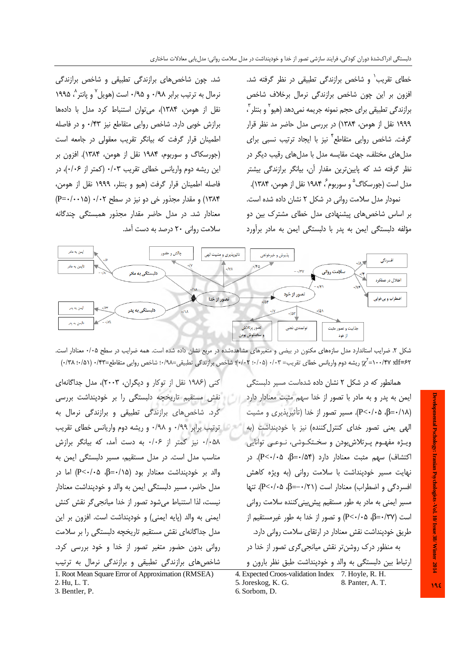شد. چون شاخصهای برازندگی تطبیقی و شاخص برازندگی نرمال به ترتیب برابر ۰/۹۸ و ۰/۹۵ است (هویل و یانتر ۵ ۱۹۹۵ نقل از هومن، ۱۳۸۴)، میتوان استنباط کرد مدل با دادهها برازش خوبی دارد. شاخص روایی متقاطع نیز ۰/۴۳ و در فاصله اطمینان قرار گرفت که بیانگر تقریب معقولی در جامعه است (جورسکاگ و سوربوم، ۱۹۸۴ نقل از هومن، ۱۳۸۴). افزون بر این ریشه دوم واریانس خطای تقریب ۰/۰۳ (کمتر از ۰/۰۶)، در فاصله اطمينان قرار گرفت (هيو و بنتلر، ١٩٩٩ نقل از هومن، ۱۳۸۴) و مقدار مجذور خی دو نیز در سطح ۰/۰۲ (۱۵-۰/۰=P) معنادار شد. در مدل حاضر مقدار مجذور همبستگی چندگانه سلامت روانی ۲۰ درصد به دست آمد.

خطای تقریب<sup>٬</sup> و شاخص برازندگی تطبیقی در نظر گرفته شد. افزون بر این چون شاخص برازندگی نرمال برخلاف شاخص برازندگی تطبیقی برای حجم نمونه جریمه نمیدهد (هیو` و بنتلر ّ، ١٩٩٩ نقل از هومن، ١٣٨۴) در بررسي مدل حاضر مد نظر قرار گرفت. شاخص روایی متقاطع ٌ نیز با ایجاد ترتیب نسبی برای مدلهای مختلف، جهت مقایسه مدل با مدلهای رقیب دیگر در نظر گرفته شد که پایینترین مقدار آن، بیانگر برازندگی بیشتر مدل است (جورسکاگ ؓ و سوربوم ؒ، ۱۹۸۴ نقل از هومن، ۱۳۸۴). نمودار مدل سلامت روانی در شکل ۲ نشان داده شده است. بر اساس شاخص های پیشنهادی مدل خطای مشترک بین دو مؤلفه دلبستگی ایمن به پدر با دلبستگی ایمن به مادر برأورد



شکل ۲. ضرایب استاندارد مدل سازمهای مکنون در بیضی و متغیرهای مشاهدهشده در مربع نشان داده شده است. همه ضرایب در سطح ۰/۰۵ معنادار است. x-1+-Yv :-/-8y (16-7۲ ریشه دوم واریانس خطای تقریب= ۰/۰۳ (۰/۰۵)؛ شاخص برازندگی تطبیقی=۰/۹۸؛ شاخص روایی متقاطع=۰/۳۲ (۰/۵۱)، ۰/۳۸)

کنی (۱۹۸۶ نقل از توکار و دیگران، ۲۰۰۳)، مدل جداگانهای نقش مستقیم تاریخچه دلبستگی را بر خودپنداشت بررسی کرد. شاخصهای برازندگی تطبیقی و برازندگی نرمال به ه با ترتیب برابر ۰/۹۹ و ۰/۹۸ و ریشه دوم واریانس خطای تقریب ۰/۰۵۸ نیز کمتر از ۰/۰۶ به دست آمد، که بیانگر برازش مناسب مدل است. در مدل مستقیم، مسیر دلبستگی ایمن به والد بر خودپنداشت معنادار بود (β=٠/١۵، β-۰/۱۵) اما در مدل حاضر، مسیر دلبستگی ایمن به والد و خودپنداشت معنادار نيست، لذا استنباط مي شود تصور از خدا ميانجي گر نقش كنش ایمنی به والد (پایه ایمنی) و خودپنداشت است. افزون بر این مدل جداگانهای نقش مستقیم تاریخچه دلبستگی را بر سلامت روانی بدون حضور متغیر تصور از خدا و خود بررسی کرد. شاخص های برازندگی تطبیقی و برازندگی نرمال به ترتیب 1. Root Mean Square Error of Approximation (RMSEA) 2. Hu, L, T.

همانطور که در شکل ۲ نشان داده شدهاست مسیر دلبستگی ایمن به پدر و به مادر با تصور از خدا سهم مثبت معنادار دارد (β=٠/١٨-β، P<٠/٠۵). مسير تصور از خدا (تأثيرپذيري و مشيت الهی یعنی تصور خدای کنترل کننده) نیز با خودپنداشت (به ويـژه مفهـوم پـرتلاشبودن و سخـتكـوشى، نـوعـى توانايى اکتشاف) سهم مثبت معنادار دارد (β=٠/۵۴، P<٠٠٥). در نهایت مسیر خودپنداشت با سلامت روانی (به ویژه کاهش افسردگی و اضطراب) معنادار است (۶۱/۰–=β، ۴<۰/۰۵). تنها مسیر ایمنی به مادر به طور مستقیم پیش بینی کننده سلامت روانی است (β=٠/٣٧)، P<٠/٠۵) و تصور از خدا به طور غیرمستقیم از طریق خودینداشت نقش معنادار در ارتقای سلامت روانی دارد. به منظور درک روشن تر نقش میانجی گری تصور از خدا در ارتباط بین دلبستگی به والد و خودپنداشت طبق نظر بارون و

4. Expected Croos-validation Index 7. Hoyle, R. H. 5. Joreskog, K. G. 8. Panter, A. T. 6. Sorbom, D.

19E

3. Bentler, P.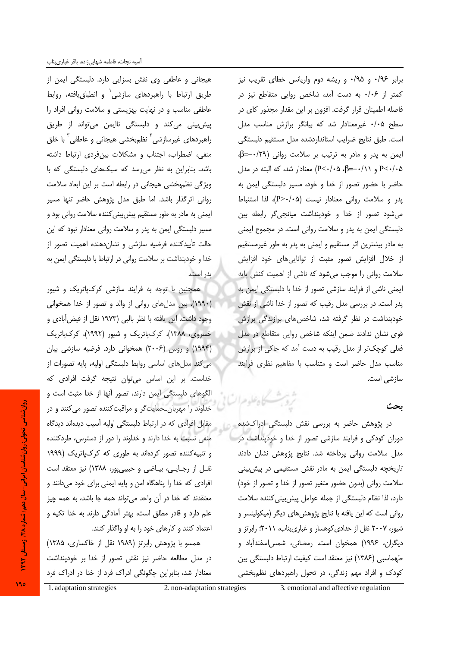هیجانی و عاطفی وی نقش بسزایی دارد. دلبستگی ایمن از طريق ارتباط با راهبردهاى سازشى و انطباق يافته، روابط عاطفی مناسب و در نهایت بهزیستی و سلامت روانی افراد را پیش بینی میکند و دلبستگی ناایمن می تواند از طریق راهبردهای غیرسازشی<sup>۲</sup> نظ<sub>ه</sub>بخشی هیجانی و عاطفی<sup>۳</sup> با خلق منفی، اضطراب، اجتناب و مشکلات بینفردی ارتباط داشته باشد. بنابراین به نظر می رسد که سبکهای دلبستگی که با ویژگی نظم بخشی هیجانی در رابطه است بر این ابعاد سلامت روانی اثر گذار باشد. اما طبق مدل پژوهش حاضر تنها مسیر ایمنی به مادر به طور مستقیم پیش بینی کننده سلامت روانی بود و مسیر دلبستگی ایمن به پدر و سلامت روانی معنادار نبود که این حالت تأييدكننده فرضيه سازشى و نشان دهنده اهميت تصور از خدا و خودپنداشت بر سلامت روانی در ارتباط با دلبستگی ایمن به يدر است.

همچنین با توجه به فرایند سازشی کرکپاتریک و شیور (١٩٩٠)، بين مدل هاى روانى از والد و تصور از خدا همخوانى وجود داشت. این یافته با نظر بالبی (۱۹۷۳ نقل از فیض آبادی و خسروی، ۱۳۸۸)، کرکµتریک و شیور (۱۹۹۲)، کرکµتریک (۱۹۹۴) و روس (۲۰۰۶) همخوانی دارد. فرضیه سازشی بیان می کند مدلهای اساسی روابط دلبستگی اولیه، پایه تصورات از خداست. بر این اساس می توان نتیجه گرفت افرادی که الگوهای دلبستگی ایمن دارند، تصور آنها از خدا مثبت است و خداوند را مهربان حمایت گر و مراقبت کننده تصور می کنند و در مقابل افرادی که در ارتباط دلبستگی اولیه آسیب دیدهاند دیدگاه منفی نسبت به خدا دارند و خداوند را دور از دسترس، طردکننده و تنبیه کننده تصور کردهاند به طوری که کرکیاتریک (۱۹۹۹ نقل از رجایی، بیاضی و حبیبی پور، ۱۳۸۸) نیز معتقد است افرادی که خدا را پناهگاه امن و پایه ایمنی برای خود می دانند و معتقدند که خدا در آن واحد میتواند همه جا باشد، به همه چیز علم دارد و قادر مطلق است، بهتر آمادگی دارند به خدا تکیه و اعتماد کنند و کارهای خود را به او واگذار کنند.

همسو با پژوهش رابرتز (۱۹۸۹ نقل از خاکساری، ۱۳۸۵) در مدل مطالعه حاضر نیز نقش تصور از خدا بر خودپنداشت معنادار شد، بنابراین چگونگی ادراک فرد از خدا در ادراک فرد

برابر ۰/۹۶ و ۰/۹۵ و ریشه دوم واریانس خطای تقریب نیز کمتر از ۰/۰۶ به دست آمد، شاخص روایی متقاطع نیز در فاصله اطمینان قرار گرفت. افزون بر این مقدار مجذور کای در سطح ٠/٠٥ غيرمعنادار شد كه بيانكر برازش مناسب مدل است. طبق نتایج ضرایب استانداردشده مدل مستقیم دلبستگی ایمن به پدر و مادر به ترتیب بر سلامت روانی (۰/٢٩-=β. P<٠/٠۵ و P<٠/٠۵، β=−٠/۱۱ معنادار شد، که البته در مدل حاضر با حضور تصور از خدا و خود، مسیر دلبستگی ایمن به يدر و سلامت رواني معنادار نيست (P>٠/٠۵)، لذا استنباط می شود تصور از خدا و خودپنداشت میانجی گر رابطه بین دلبستگی ایمن به پدر و سلامت روانی است. در مجموع ایمنی به مادر بیشترین اثر مستقیم و ایمنی به پدر به طور غیرمستقیم از خلال افزایش تصور مثبت از تواناییهای خود افزایش سلامت روانی را موجب میشود که ناشی از اهمیت کنش پایه ایمنی ناشی از فرایند سازشی تصور از خدا با دلبستگی ایمن به پدر است. در بررسی مدل رقیب که تصور از خدا ناشی از نقش خودینداشت در نظر گرفته شد، شاخصهای برازندگی برازش قوی نشان ندادند ضمن اینکه شاخص روایی متقاطع در مدل فعلی کوچکتر از مدل رقیب به دست آمد که حاکی از برازش مناسب مدل حاضر است و متناسب با مفاهيم نظرى فرايند ساز شي است.

## ىحث

در پژوهش حاضر به بررسی نقش دلبستگی ادراکشده دوران کودکی و فرایند سازشی تصور از خدا و خودپنداشت در مدل سلامت روانی پرداخته شد. نتایج پژوهش نشان دادند تاریخچه دلبستگی ایمن به مادر نقش مستقیمی در پیش بینی سلامت روانی (بدون حضور متغیر تصور از خدا و تصور از خود) دارد، لذا نظام دلبستگی از جمله عوامل پیش بینی کننده سلامت روانی است که این یافته با نتایج پژوهشهای دیگر (میکولینسر و شیور، ۲۰۰۷ نقل از حدادی کوهسار و غباریبناب، ۲۰۱۱؛ رابرتز و دیگران، ۱۹۹۶) همخوان است. رمضانی، شمس اسفندآباد و طهماسبي (١٣٨۶) نيز معتقد است كيفيت ارتباط دلبستگي بين کودک و افراد مهم زندگی، در تحول راهبردهای نظمبخشی

3. emotional and affective regulation

وتلدمه الأ

روان شناسی تحولی: روان شناسان ایرانی- سال دهم) شماره ۳۸/ ; مستان ۱۳۹۲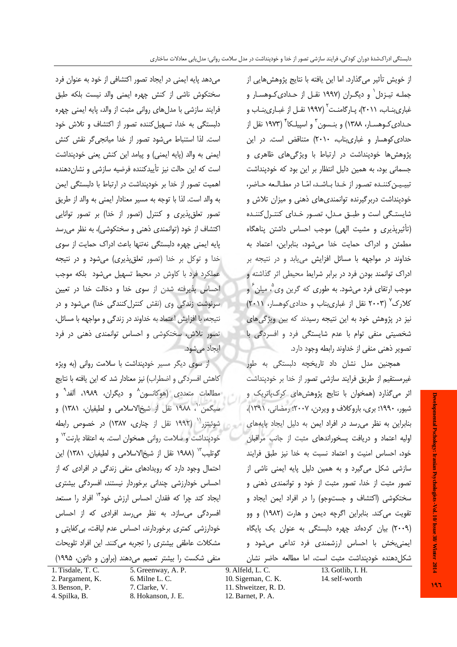از خویش تأثیر میگذارد. اما این یافته با نتایج پژوهش هایی از جملـه تیـزدل` و دیگـران (۱۹۹۷ نقـل از حـدادیکـوهسـار و غباریبنــاب، ۲۰۱۱)، پــارگامنــت<sup>۲</sup> (۱۹۹۷ نقــل از غبــاریبنــاب و حـدادی َکـوهسـار، ۱۳۸۸) و بنـسون <sup>۳</sup> و اسپیلـکا ٔ (۱۹۷۳ نقل از حدادی کوهسار و غباریبناب، ۲۰۱۰) متناقض است. در این پژوهش ها خودپنداشت در ارتباط با ویژگیهای ظاهری و جسمانی بود، به همین دلیل انتظار بر این بود که خودپنداشت تبیین کننده تصور از خدا باشد، امّا در مطالعه حاضر، خودپنداشت دربر گیرنده توانمندی های ذهنی و میزان تلاش و شایستگی است و طبق مدل، تصور خدای کنترل کننده (تأثیرپذیری و مشیت الهی) موجب احساس داشتن پناهگاه مطمئن وادراك حمايت خدا مى شود، بنابراين، اعتماد به خداوند در مواجهه با مسائل افزایش می یابد و در نتیجه بر ادراک توانمند بودن فرد در برابر شرایط محیطی اثر گذاشته و موجب ارتقای فرد میشود. به طوری که گرین وی ؓ، میلن ؑ و کلارک<sup>۷</sup> (۲۰۰۳ نقل از غباریبناب و حدادی کوهسار، ۲۰۱۱) نیز در پژوهش خود به این نتیجه رسیدند که بین ویژگی های شخصیتی منفی توام با عدم شایستگی فرد و افسردگی با تصویر ذهنی منفی از خداوند رابطه وجود دارد.

همچنین مدل نشان داد تاریخچه دلبستگی به طور غیرمستقیم از طریق فرایند سازشی تصور از خدا بر خودپنداشت اثر می گذارد (همخوان با نتایج پژوهش های کرک پاتریک و شیور، ۱۹۹۰؛ بری، باروکلاف و ویردن، ۲۰۰۷؛ رمضانی، ۱۳۹۱)، بنابراین به نظر می رسد در افراد ایمن به دلیل ایجاد پایههای اولیه اعتماد و دریافت پسخوراندهای مثبت از جانب مراقبان خود، احساس امنیت و اعتماد نسبت به خدا نیز طبق فرایند سازشی شکل میگیرد و به همین دلیل پایه ایمنی ناشی از تصور مثبت از خدا، تصور مثبت از خود و توانمندی ذهنی و سختکوشی (اکتشاف و جستوجو) را در افراد ایمن ایجاد و تقویت می کند. بنابراین اگرچه دیمن و هارت (۱۹۸۲) و وو (۲۰۰۹) بیان کردهاند چهره دلبستگی به عنوان یک پایگاه ایمنی بخش با احساس ارزشمندی فرد تداعی می شود و شكل دهنده خودپنداشت مثبت است، اما مطالعه حاضر نشان

می دهد پایه ایمنی در ایجاد تصور اکتشافی از خود به عنوان فرد سختكوش ناشى از كنش چهره ايمنى والد نيست بلكه طبق فرایند سازشی با مدلهای روانی مثبت از والد، پایه ایمنی چهره دلبستگی به خدا، تسهیل کننده تصور از اکتشاف و تلاش خود است. لذا استنباط می شود تصور از خدا میانجی گر نقش کنش ايمني به والد (پايه ايمني) و پيامد اين كنش يعني خودپنداشت است که این حالت نیز تأییدکننده فرضیه سازشی و نشانِدهنده اهمیت تصور از خدا بر خودینداشت در ارتباط با دلبستگی ایمن به والد است. لذا با توجه به مسير معنادار ايمني به والد از طريق تصور تعلق پذیری و کنترل (تصور از خدا) بر تصور توانایی اکتشاف از خود (توانمندی ذهنی و سختکوشی)، به نظر میرسد پایه ایمنی چهره دلبستگی نهتنها باعث ادراک حمایت از سوی خدا و توکل بر خدا (تصور تعلق پذیری) میشود و در نتیجه عملکرد فرد با کاوش در محیط تسهیل میشود بلکه موجب احساس پذیرفته شدن از سوی خدا و دخالت خدا در تعیین سرنوشت زندگی وی (نقش کنترل کنندگی خدا) می شود و در نتيجه، با افزايش اعتماد به خداوند در زندگی و مواجهه با مسائل، تصور تلاش، سختکوشی و احساس توانمندی ذهنی در فرد ایجاد مے شود.

از سوی دیگر مسیر خودپنداشت با سلامت روانی (به ویژه كاهش افسردگي و اضطراب) نيز معنادار شد كه اين يافته با نتايج مطالعات متعددی (هوکانسون<sup>^</sup> و دیگران، ۱۹۸۹، آلفد<sup>۹</sup> و سيگمن ``، ١٩٨٨ نقل از شيخالاسلامي و لطيفيان، ١٣٨١) و شوئیتزر<sup>۱٬</sup> (۱۹۹۲ نقل از چناری، ۱۳۸۷) در خصوص رابطه خودپنداشت و سلامت روانی همخوان است. به اعتقاد بارنت<sup>۱۲</sup> و گوتلیب<sup>۱۳</sup> (۱۹۸۸ نقل از شیخ|لاسلامی و لطیفیان، ۱۳۸۱) این احتمال وجود دارد که رویدادهای منفی زندگی در افرادی که از احساس خودارزشی چندانی برخوردار نیستند، افسردگی بیشتری ایجاد کند چرا که فقدان احساس ارزش خود<sup>۱۲</sup> افراد را مستعد افسردگی میسازد. به نظر می رسد افرادی که از احساس خودارزشی کمتری برخوردارند، احساس عدم لیاقت، بی کفایتی و مشكلات عاطفى بيشترى را تجربه مى كنند. اين افراد تلويحات منفی شکست را بیشتر تعمیم میدهند (براون و داتون، ۱۹۹۵)

1. Tisdale, T. C. 2. Pargament, K.

3. Benson, P.

4. Spilka, B.

5. Greenway, A. P. 6. Milne L. C. 7. Clarke, V. 8. Hokanson, J. E.

 $9.$  Alfeld, L. C. 10. Sigeman, C. K. 11. Shweitzer, R. D. 12. Barnet, P. A.

13. Gotlib, I. H. 14. self-worth

Developmental Pschology: Iranian Psychologists - Vol. 10/ Issue 38/ Winter 2014  $197$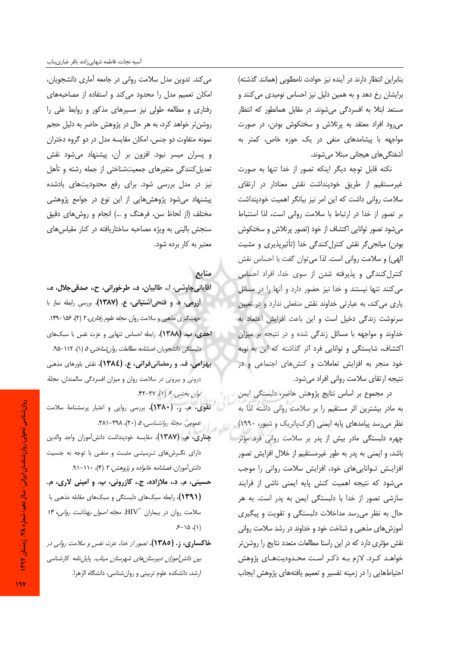بنابراین انتظار دارند در آینده نیز حوادث نامطلوبی (همانند گذشته) برایشان رخ دهد و به همین دلیل نیز احساس نومیدی می کنند و مستعد ابتلا به افسردگی میشوند. در مقابل همانطور که انتظار می رود افراد معتقد به پرتلاش و سختکوش بودن، در صورت مواجهه با پیشامدهای منفی در یک حوزه خاص، کمتر به آشفتگی های هیجانی مبتلا میشوند.

نكته قابل توجه ديگر اينكه تصور از خدا تنها به صورت غیرمستقیم از طریق خودینداشت نقش معنادار در ارتقای سلامت روانی داشت که این امر نیز بیانگر اهمیت خودپنداشت بر تصور از خدا در ارتباط با سلامت روانی است، لذا استنباط میشود تصور توانایی اکتشاف از خود (تصور پرتلاش و سختکوش بودن) میانجیگر نقش کنترل کنندگی خدا (تأثیرپذیری و مشیت الهي) و سلامت رواني است. لذا مي توان گفت با احساس نقش کنترل کنندگی و پذیرفته شدن از سوی خدا، افراد احساس می کنند تنها نیستند و خدا نیز حضور دارد و آنها را در مسائل یاری می کند، به عبارتی خداوند نقش منفعلی ندارد و در تعیین سرنوشت زندگی دخیل است و این باعث افزایش اعتماد به خداوند و مواجهه با مسائل زندگی شده و در نتیجه بر میزان اکتشاف، شایستگی و توانایی فرد اثر گذاشته که این به نوبه خود منجر به افزایش تعاملات و کنشهای اجتماعی و در نتيجه ارتقاى سلامت رواني افراد مى شود.

در مجموع بر اساس نتايج پژوهش حاضر، دلبستگی ايمن به مادر بیشترین اثر مستقیم را بر سلامت روانی داشته لذا به نظر می رسد پیامدهای پایه ایمنی (کرک¢تریک و شیور، ۱۹۹۰) چهره دلبستگی مادر بیش از پدر بر سلامت روانی فرد مؤثر باشد، و ایمنی به پدر به طور غیرمستقیم از خلال افزایش تصور افزایش توانایی های خود، افزایش سلامت روانی را موجب می شود که نتیجه اهمیت کنش یایه ایمنی ناشی از فرایند سازشی تصور از خدا با دلبستگی ایمن به پدر است. به هر حال به نظر می رسد مداخلات دلبستگی و تقویت و پیگیری آموزش های مذهبی و شناخت خود و خداوند در رشد سلامت روانی نقش مؤثری دارد که در این راستا مطالعات متعدد نتایج را روشن تر خواهـد كـرد. لازم بـه ذكـر اسـت محـدوديتهـاى پژوهش احتیاطهایی را در زمینه تفسیر و تعمیم یافتههای پژوهش ایجاب

می کند. تدوین مدل سلامت روانی در جامعه آماری دانشجویان، امکان تعمیم مدل را محدود می کند و استفاده از مصاحبههای رفتاری و مطالعه طولی نیز مسیرهای مذکور و روابط علی را روشنتر خواهد کرد، به هر حال در پژوهش حاضر به دلیل حجم نمونه متفاوت دو جنس، امکان مقایسه مدل در دو گروه دختران و پسران میسر نبود. افزون بر آن، پیشنهاد میشود نقش تعدیل کنندگی متغیرهای جمعیتشناختی از جمله رشته و تأهل نیز در مدل بررسی شود. برای رفع محدودیتهای یادشده پیشنهاد میشود پژوهشهایی از این نوع در جوامع پژوهشی مختلف (از لحاظ سن، فرهنگ و …) انجام و روشهای دقیق سنجش بالینی به ویژه مصاحبه ساختاریافته در کنار مقیاسهای معتبر به کار برده شود.

### منابع

أقايانيچاوشي، ا.، طالبيان، د.، طرخوراني، ح.، صدقيجلال، ه.، **آزرمی، ه. و فتحیآشتیانی، ع. (۱۳۸۷).** بررسی رابطه نماز با جهت گیری مذهبی و سلامت روان. مجله علوم رفتاری، ٢ (٢)، ١٥۶-١۴٩. **احدی، ب. (١٣٨٨).** رابطه احساس تنهایی و عزت نفس با سبکهای دلبستگی دانشجویان. *فصلنامه مطالعات روان شناختی، ۵* (۱)، ۱۱۲–۹۵. بهرامی، ف. و رمضانیفرانی، ع. (١٣٨٤). نقش باورهای مذهبی درونی و بیرونی در سلامت روان و میزان افسردگی سالمندان. *مجلهٔ* توان بخشبي، عر(۱)، ۴۷-۴۲.

تقوى، م. ر. (١٣٨٠). بررسي روايي و اعتبار پرسشنامهٔ سلامت عمومی. مجلهٔ روانشناسی، ۵ (۲۰)، ۳۸۸-۳۸۱.

- چناری، م. (١٣٨٧). مقايسه خودپنداشت دانش آموزان واجد والدين دارای نگرشهای تربیتی مثبت و منفی با توجه به جنسیت دانش آموزان. فصلنامه خانواده و پروهش، ۲ (۴)، ۱۱۰-۹۱.
- حسینی، م. د.، ملازاده، ج.، کازرونی، پ. و امینی لاری، م. (۱۳۹۱). رابطه سبکهای دلبستگی و سبکهای مقابله مذهبی با سلامت روان در بیماران "HIV. *مجله اصول بهداشت روانی*، ۱۴  $5 - 10$  (1)
- خاکساری، ز. (۱۳۸۵). تصور از خدا، عزت نفس و سلامت روانی در *بین دانش[موزان دبیرستانهای شهرستان میناب.* پایانiامه کارشناسی ارشد، دانشکده علوم تربیتی و روان شناسی، دانشگاه الزهرا.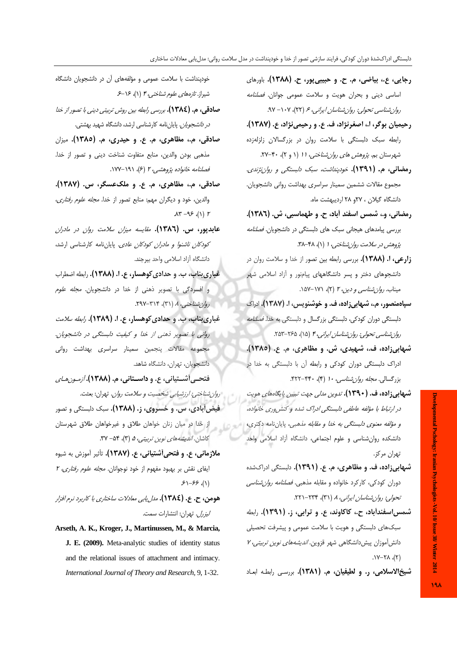- رجايي، ع.، بياضي، م. ح. و حبيبي پور، ح. (١٣٨٨). باورهاي اساسی دینی و بحران هویت و سلامت عمومی جوانان. فص*لنامه* روان شناسی تحولی: روان شناسان ایرانی، عر (۲۲)، ۰۷– ۹۷.
- رحیمیان بوگر، ا.، اصغرنژاد، ف. ع. و رحیمی نژاد، ع. (۱۳۸۷). رابطه سبک دلبستگی با سلامت روان در بزرگسالان زلزلهزده شهرستان بم. *پژوهش های روان شناختی، ۱۱* (۱ و ۲)، ۴۰-۲۷.
- رمضانی، م. (۱۳۹۱). خودپند*اشت، سبک دلبستگی و روان نژندی*. مجموع مقالات ششمین سمینار سراسری بهداشت روانی دانشجویان. دانشگاه گیلان ، ۲۷و ۲۸ اردیبهشت ماه.
- رمضاني، و.، شمس اسفند أباد، ح. و طهماسبي، ش. (١٣٨٦). بررسی پیامدهای هیجانی سبک های دلبستگی در دانشجویان. *فصلنامه* پژوهش در سلامت روان شناختی، ۱ (۱)، ۴۸-۳۸.
- زارعی، ا. (۱۳۸۸). بررسی رابطه بین تصور از خدا و سلامت روان در دانشجوهای دختر و پسر دانشگاههای پیامنور و آزاد اسلامی شهر میناب. *روان شناسی و دین، ۲* (۲)، ۱۷۱-۱۵۷.
- سپاهمنصور، م.، شبهابی زاده، ف. و خوشنویس، ا. (۱۳۸۷). ادراک دلبستگی دوران کودکی، دلبستگی بزرگسال و دلبستگی به خدا. *فصلنامه* روان شناسی تحولی: روان شناسان ایرانی، ۴ (۱۵)، ۲۶۵–۲۵۳.
- شهایی;اده، ف.، شهیدی، ش. و مظاهری، م. ع. (۱۳۸٥). ادراک دلبستگی دوران کودکی و رابطه آن با دلبستگی به خدا در بزرگسالی. *مجله روان شناسی، ۱۰* (۴)، ۴۲۰-۴۲۲.
- **شبهابی;اده، ف. (۱۳۹۰).** تدوین مدلی جه*ت تبیین پایگاههای هویت* در ارتباط با مؤلفه عاطفي دلبستگي ادراک شده و کنش وري خانواده، و مؤلفه معنوى دلبستگى به خدا و مقابله مذهبى. پاياننامه دكترى، دانشکده روان شناسی و علوم اجتماعی، دانشگاه آزاد اسلامی واحد تهران مركز.
- شیهایی;اده، ف. و مظاهری، م. ع. (١٣٩١). دلبستگی ادراکشده دوران کودکی، کارکرد خانواده و مقابله مذهبی. *فصلنامه روان شناسی* تحولي: روان شناسان ايراني، ٨ (٣١)، ٢٣٣-٢٢١.
- شمس|سفندآباد، ح.، کاکاوند، ع. و ترابی، ز. (۱۳۹۱). رابطه سبکھای دلبستگی و هویت با سلامت عمومی و پیشرفت تحصیلی دانش آموزان پیش دانشگاهی شهر قزوین. *اندیشههای نوین تربیتی، ۷*  $(Y), \lambda Y - Y$ .

شيخ الاسلامي، ر. و لطيفيان، م. (١٣٨١). بررسي رابطه ابعاد

خودپنداشت با سلامت عمومی و مؤلفههای آن در دانشجویان دانشگاه شیراز*. تازههای علوم شناختی، ۴* (۱)، ۱۶–۶

- صادقی، م. (١٣٨٤). بررسی رابطه بین روش تربیتی دینی با تصور از خلا *در دانشجویان.* پایاننامه کارشناسی ارشد، دانشگاه شهید بهشتی.
- صادقی، م.، مظاهری، م. ع. و حیدری، م. (١٣٨٥). میزان مذهبی بودن والدین، منابع متفاوت شناخت دینی و تصور از خدا. فصلنامه خانواده پژوهشی، ۲ (۶)، ۱۹۱–۱۷۷.

صادقی، م.، مظاهری، م. ع. و ملکعسگر، س. (۱۳۸۷). والدین، خود و دیگران مهم: منابع تصور از خدا. *مجله علوم رفتاری*،  $\Lambda \Upsilon - 95$  (1)  $\Upsilon$ 

- عابدپور، س. (١٣٨٦). *مقايسه ميزان سلامت روان در مادران کودکان ناشنوا و مادران کودکان عادی.* پایاننامه کارشناسی ارشد، دانشگاه آزاد اسلامی واحد بیرجند.
- غباري بناب، ب. و حدادي كوهسار، ع. ا. (١٣٨٨). رابطه اضطراب و افسردگی با تصویر ذهنی از خدا در دانشجویان. *مجله علوم* روان شناختبی، ۸ (۳۱)، ۳۱۴-۲۹۷.
- غباري بناب، ب. و حدادي كوهسار، ع. ا. (١٣٨٩). ر*ابطه سلامت* رواني با تصوير ذهني از خدا و كيفيت دلبستگي در دانشجويان. مجموعه مقالات پنجمین سمینار سراسری بهداشت روانی دانشجویان، تهران، دانشگاه شاهد.
- فتحبي أشستياني، ع. و **داسستاني، م. (١٣٨٨).** *أزميون هياي* رو*ان شناختی: ارزشیابی شخصیت و سلامت روان*. تهران: بعثت.
- **فیضآبادی، س. و خسروی، ز. (۱۳۸۸).** سبک دلبستگی و تصور از خدا در میان زنان خواهان طلاق و غیرخواهان طلاق شهرستان کاشان. *اندیشههای نوین تربیتی، ۵* (۳)، ۳۴- ۳۷.
- ملازمانی، ع. و فتحی آشتیانی، ع. (١٣٨٧). تأثیر آموزش به شیوه ایفای نقش بر بهبود مفهوم از خود نوجوانان. *مجله علوم رفتاری، ۲*  $51 - 55$  (1)
- هومن، ح. ع. (١٣٨٤). مدل يابي معادلات ساختاري با كاربرد نرم افزار *ليزرل.* تهران: انتشارات سمت.
- Arseth, A. K., Kroger, J., Martinussen, M., & Marcia, J. E. (2009). Meta-analytic studies of identity status and the relational issues of attachment and intimacy. International Journal of Theory and Research, 9, 1-32.

**19A**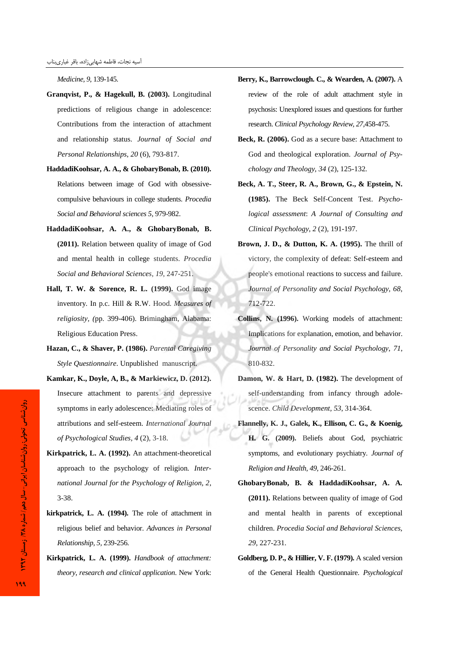*Medicine, 9*, 139-145.

- **Granqvist, P., & Hagekull, B. (2003).** Longitudinal predictions of religious change in adolescence: Contributions from the interaction of attachment and relationship status. *Journal of Social and Personal Relationships*, *20* (6), 793-817.
- **HaddadiKoohsar, A. A., & GhobaryBonab, B. (2010).** Relations between image of God with obsessivecompulsive behaviours in college students. *Procedia Social and Behavioral sciences 5,* 979-982.
- **HaddadiKoohsar, A. A., & GhobaryBonab, B (2011).** Relation between quality of image of God and mental health in college students. *Procedia Social and Behavioral Sciences, 19*, 247-251.
- **Hall, T. W. & Sorence, R. L. (1999).** God image inventory*.* In p.c. Hill & R.W. Hood*. Measures of religiosity, (*pp. 399-406). Brimingham, Alabama: Religious Education Press.
- **Hazan, C., & Shaver, P. (1986).** *Parental Caregiving Style Questionnaire*. Unpublished manuscript.
- **Kamkar, K., Doyle, A, B., & Markiewicz, D. (2012).** Insecure attachment to parents and depressive symptoms in early adolescence: Mediating roles of attributions and self-esteem. *International Journal of Psychological Studies, 4* (2), 3-18.
- **Kirkpatrick, L. A. (1992).** An attachment-theoretical approach to the psychology of religion*. International Journal for the Psychology of Religion, 2*, 3-38.
- **kirkpatrick, L. A. (1994).** The role of attachment in religious belief and behavior. *Advances in Personal Relationship, 5,* 239-256.
- **Kirkpatrick, L. A. (1999).** *Handbook of attachment: theory, research and clinical application*. New York:
- **Berry, K., Barrowclough. C., & Wearden, A. (2007).** A review of the role of adult attachment style in psychosis: Unexplored issues and questions for further research. *Clinical Psychology Review, 27,*458-475.
- **Beck, R. (2006).** God as a secure base: Attachment to God and theological exploration. *Journal of Psychology and Theology, 34* (2), 125-132.
- **Beck, A. T., Steer, R. A., Brown, G., & Epstein, N. (1985).** The Beck Self-Concent Test. *Psychological assessment*: *A Journal of Consulting and Clinical Psychology*, *2* (2), 191-197.
- **Brown, J. D., & Dutton, K. A. (1995).** The thrill of victory, the complexity of defeat: Self-esteem and people's emotional reactions to success and failure. *Journal of Personality and Social Psychology, 68*, 712-722.
- **Collins, N. (1996).** Working models of attachment: Implications for explanation, emotion, and behavior. *Journal of Personality and Social Psychology*, *71*, 810-832.
- **Damon, W. & Hart, D. (1982).** The development of self-understanding from infancy through adolescence. *Child Development, 53*, 314-364.
- **Flannelly, K. J**-**, Galek, K**-**, Ellison, C. G., & Koenig, H. G. (2009).** Beliefs about God, psychiatric symptoms, and evolutionary psychiatry. *Journal of Religion and Health, 49,* 246-261.
- **GhobaryBonab, B**- **& HaddadiKoohsar, A. A***.* **(2011).** Relations between quality of image of God and mental health in parents of exceptional children. *Procedia Social and Behavioral Sciences,*  29, 227-231.
- **Goldberg, D. P., & Hillier, V. F. (1979).** A scaled version of the General Health Questionnaire. *Psychological*

- دوان

روان شناسي تحولي شناسى

.<br>دوان

روان شناسان ایرانی شاسا